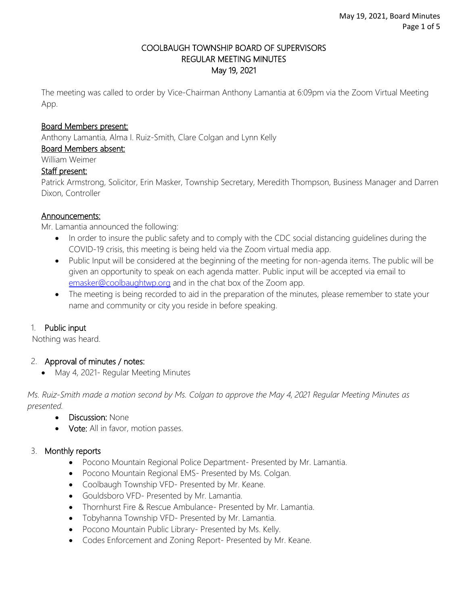## COOLBAUGH TOWNSHIP BOARD OF SUPERVISORS REGULAR MEETING MINUTES May 19, 2021

The meeting was called to order by Vice-Chairman Anthony Lamantia at 6:09pm via the Zoom Virtual Meeting App.

#### Board Members present:

Anthony Lamantia, Alma I. Ruiz-Smith, Clare Colgan and Lynn Kelly

Board Members absent:

William Weimer

#### Staff present:

Patrick Armstrong, Solicitor, Erin Masker, Township Secretary, Meredith Thompson, Business Manager and Darren Dixon, Controller

#### Announcements:

Mr. Lamantia announced the following:

- In order to insure the public safety and to comply with the CDC social distancing guidelines during the COVID-19 crisis, this meeting is being held via the Zoom virtual media app.
- Public Input will be considered at the beginning of the meeting for non-agenda items. The public will be given an opportunity to speak on each agenda matter. Public input will be accepted via email to [emasker@coolbaughtwp.org](mailto:emasker@coolbaughtwp.org) and in the chat box of the Zoom app.
- The meeting is being recorded to aid in the preparation of the minutes, please remember to state your name and community or city you reside in before speaking.

## 1. Public input

Nothing was heard.

## 2. Approval of minutes / notes:

May 4, 2021- Regular Meeting Minutes

*Ms. Ruiz-Smith made a motion second by Ms. Colgan to approve the May 4, 2021 Regular Meeting Minutes as presented.*

- Discussion: None
- Vote: All in favor, motion passes.

## 3. Monthly reports

- Pocono Mountain Regional Police Department- Presented by Mr. Lamantia.
- Pocono Mountain Regional EMS- Presented by Ms. Colgan.
- Coolbaugh Township VFD- Presented by Mr. Keane.
- Gouldsboro VFD- Presented by Mr. Lamantia.
- Thornhurst Fire & Rescue Ambulance- Presented by Mr. Lamantia.
- Tobyhanna Township VFD- Presented by Mr. Lamantia.
- Pocono Mountain Public Library- Presented by Ms. Kelly.
- Codes Enforcement and Zoning Report- Presented by Mr. Keane.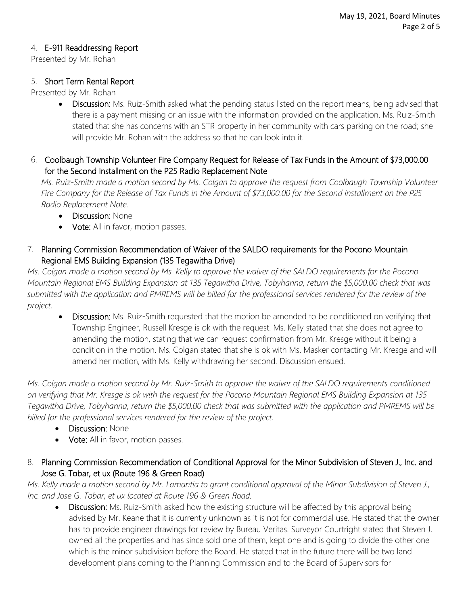## 4. E-911 Readdressing Report

Presented by Mr. Rohan

## 5. Short Term Rental Report

Presented by Mr. Rohan

- Discussion: Ms. Ruiz-Smith asked what the pending status listed on the report means, being advised that there is a payment missing or an issue with the information provided on the application. Ms. Ruiz-Smith stated that she has concerns with an STR property in her community with cars parking on the road; she will provide Mr. Rohan with the address so that he can look into it.
- 6. Coolbaugh Township Volunteer Fire Company Request for Release of Tax Funds in the Amount of \$73,000.00 for the Second Installment on the P25 Radio Replacement Note

*Ms. Ruiz-Smith made a motion second by Ms. Colgan to approve the request from Coolbaugh Township Volunteer Fire Company for the Release of Tax Funds in the Amount of \$73,000.00 for the Second Installment on the P25 Radio Replacement Note.*

- Discussion: None
- Vote: All in favor, motion passes.
- 7. Planning Commission Recommendation of Waiver of the SALDO requirements for the Pocono Mountain Regional EMS Building Expansion (135 Tegawitha Drive)

*Ms. Colgan made a motion second by Ms. Kelly to approve the waiver of the SALDO requirements for the Pocono Mountain Regional EMS Building Expansion at 135 Tegawitha Drive, Tobyhanna, return the \$5,000.00 check that was submitted with the application and PMREMS will be billed for the professional services rendered for the review of the project.*

 Discussion: Ms. Ruiz-Smith requested that the motion be amended to be conditioned on verifying that Township Engineer, Russell Kresge is ok with the request. Ms. Kelly stated that she does not agree to amending the motion, stating that we can request confirmation from Mr. Kresge without it being a condition in the motion. Ms. Colgan stated that she is ok with Ms. Masker contacting Mr. Kresge and will amend her motion, with Ms. Kelly withdrawing her second. Discussion ensued.

*Ms. Colgan made a motion second by Mr. Ruiz-Smith to approve the waiver of the SALDO requirements conditioned on verifying that Mr. Kresge is ok with the request for the Pocono Mountain Regional EMS Building Expansion at 135 Tegawitha Drive, Tobyhanna, return the \$5,000.00 check that was submitted with the application and PMREMS will be billed for the professional services rendered for the review of the project.*

- Discussion: None
- Vote: All in favor, motion passes.

# 8. Planning Commission Recommendation of Conditional Approval for the Minor Subdivision of Steven J., Inc. and Jose G. Tobar, et ux (Route 196 & Green Road)

*Ms. Kelly made a motion second by Mr. Lamantia to grant conditional approval of the Minor Subdivision of Steven J., Inc. and Jose G. Tobar, et ux located at Route 196 & Green Road.*

Discussion: Ms. Ruiz-Smith asked how the existing structure will be affected by this approval being advised by Mr. Keane that it is currently unknown as it is not for commercial use. He stated that the owner has to provide engineer drawings for review by Bureau Veritas. Surveyor Courtright stated that Steven J. owned all the properties and has since sold one of them, kept one and is going to divide the other one which is the minor subdivision before the Board. He stated that in the future there will be two land development plans coming to the Planning Commission and to the Board of Supervisors for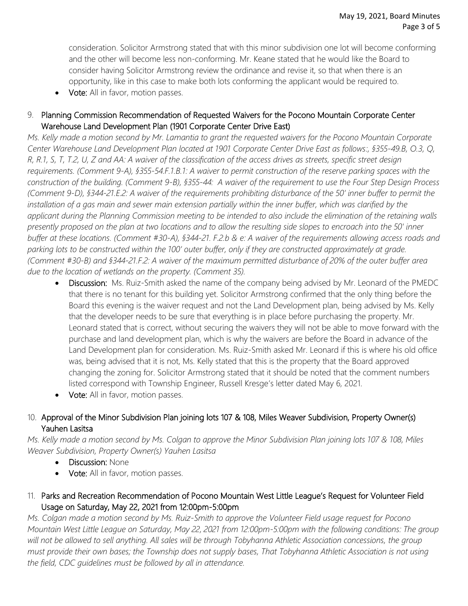consideration. Solicitor Armstrong stated that with this minor subdivision one lot will become conforming and the other will become less non-conforming. Mr. Keane stated that he would like the Board to consider having Solicitor Armstrong review the ordinance and revise it, so that when there is an opportunity, like in this case to make both lots conforming the applicant would be required to.

• Vote: All in favor, motion passes.

# 9. Planning Commission Recommendation of Requested Waivers for the Pocono Mountain Corporate Center Warehouse Land Development Plan (1901 Corporate Center Drive East)

*Ms. Kelly made a motion second by Mr. Lamantia to grant the requested waivers for the Pocono Mountain Corporate Center Warehouse Land Development Plan located at 1901 Corporate Center Drive East as follows:, §355-49.B, O.3, Q, R, R.1, S, T, T.2, U, Z and AA: A waiver of the classification of the access drives as streets, specific street design requirements. (Comment 9-A), §355-54.F.1.B.1: A waiver to permit construction of the reserve parking spaces with the construction of the building. (Comment 9-B), §355-44: A waiver of the requirement to use the Four Step Design Process (Comment 9-D), §344-21.E.2: A waiver of the requirements prohibiting disturbance of the 50' inner buffer to permit the installation of a gas main and sewer main extension partially within the inner buffer, which was clarified by the applicant during the Planning Commission meeting to be intended to also include the elimination of the retaining walls presently proposed on the plan at two locations and to allow the resulting side slopes to encroach into the 50' inner buffer at these locations. (Comment #30-A), §344-21. F.2.b & e: A waiver of the requirements allowing access roads and parking lots to be constructed within the 100' outer buffer, only if they are constructed approximately at grade. (Comment #30-B) and §344-21.F.2: A waiver of the maximum permitted disturbance of 20% of the outer buffer area due to the location of wetlands on the property. (Comment 35).* 

- Discussion: Ms. Ruiz-Smith asked the name of the company being advised by Mr. Leonard of the PMEDC that there is no tenant for this building yet. Solicitor Armstrong confirmed that the only thing before the Board this evening is the waiver request and not the Land Development plan, being advised by Ms. Kelly that the developer needs to be sure that everything is in place before purchasing the property. Mr. Leonard stated that is correct, without securing the waivers they will not be able to move forward with the purchase and land development plan, which is why the waivers are before the Board in advance of the Land Development plan for consideration. Ms. Ruiz-Smith asked Mr. Leonard if this is where his old office was, being advised that it is not, Ms. Kelly stated that this is the property that the Board approved changing the zoning for. Solicitor Armstrong stated that it should be noted that the comment numbers listed correspond with Township Engineer, Russell Kresge's letter dated May 6, 2021.
- Vote: All in favor, motion passes.

# 10. Approval of the Minor Subdivision Plan joining lots 107 & 108, Miles Weaver Subdivision, Property Owner(s) Yauhen Lasitsa

*Ms. Kelly made a motion second by Ms. Colgan to approve the Minor Subdivision Plan joining lots 107 & 108, Miles Weaver Subdivision, Property Owner(s) Yauhen Lasitsa*

- **Discussion: None**
- Vote: All in favor, motion passes.
- 11. Parks and Recreation Recommendation of Pocono Mountain West Little League's Request for Volunteer Field Usage on Saturday, May 22, 2021 from 12:00pm-5:00pm

*Ms. Colgan made a motion second by Ms. Ruiz-Smith to approve the Volunteer Field usage request for Pocono Mountain West Little League on Saturday, May 22, 2021 from 12:00pm-5:00pm with the following conditions: The group*  will not be allowed to sell anything. All sales will be through Tobyhanna Athletic Association concessions, the group *must provide their own bases; the Township does not supply bases, That Tobyhanna Athletic Association is not using the field, CDC guidelines must be followed by all in attendance.*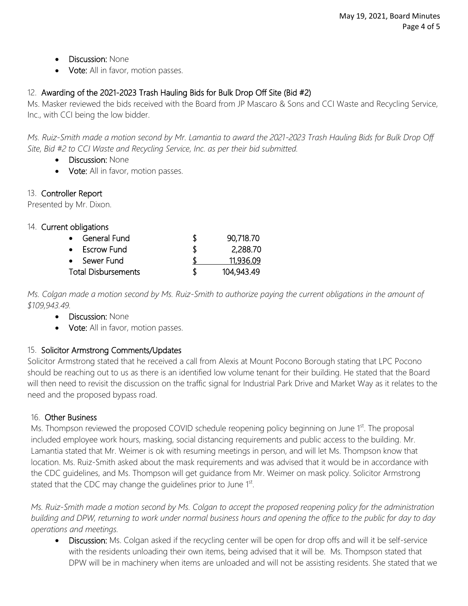- Discussion: None
- **Vote:** All in favor, motion passes.

# 12. Awarding of the 2021-2023 Trash Hauling Bids for Bulk Drop Off Site (Bid #2)

Ms. Masker reviewed the bids received with the Board from JP Mascaro & Sons and CCI Waste and Recycling Service, Inc., with CCI being the low bidder.

*Ms. Ruiz-Smith made a motion second by Mr. Lamantia to award the 2021-2023 Trash Hauling Bids for Bulk Drop Off Site, Bid #2 to CCI Waste and Recycling Service, Inc. as per their bid submitted.*

- Discussion: None
- Vote: All in favor, motion passes.

# 13. Controller Report

Presented by Mr. Dixon.

# 14. Current obligations

| S  | 90,718.70  |
|----|------------|
| Æ  | 2,288.70   |
|    | 11,936.09  |
| \$ | 104,943.49 |
|    |            |

*Ms. Colgan made a motion second by Ms. Ruiz-Smith to authorize paying the current obligations in the amount of \$109,943.49.*

- Discussion: None
- Vote: All in favor, motion passes.

# 15. Solicitor Armstrong Comments/Updates

Solicitor Armstrong stated that he received a call from Alexis at Mount Pocono Borough stating that LPC Pocono should be reaching out to us as there is an identified low volume tenant for their building. He stated that the Board will then need to revisit the discussion on the traffic signal for Industrial Park Drive and Market Way as it relates to the need and the proposed bypass road.

## 16. Other Business

Ms. Thompson reviewed the proposed COVID schedule reopening policy beginning on June 1<sup>st</sup>. The proposal included employee work hours, masking, social distancing requirements and public access to the building. Mr. Lamantia stated that Mr. Weimer is ok with resuming meetings in person, and will let Ms. Thompson know that location. Ms. Ruiz-Smith asked about the mask requirements and was advised that it would be in accordance with the CDC guidelines, and Ms. Thompson will get guidance from Mr. Weimer on mask policy. Solicitor Armstrong stated that the CDC may change the guidelines prior to June 1st.

*Ms. Ruiz-Smith made a motion second by Ms. Colgan to accept the proposed reopening policy for the administration building and DPW, returning to work under normal business hours and opening the office to the public for day to day operations and meetings.* 

Discussion: Ms. Colgan asked if the recycling center will be open for drop offs and will it be self-service with the residents unloading their own items, being advised that it will be. Ms. Thompson stated that DPW will be in machinery when items are unloaded and will not be assisting residents. She stated that we